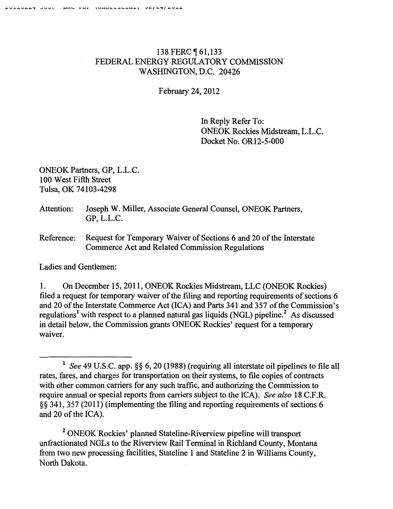## 138 FERC ¶ 61,133 FEDERAL ENERGY REGULATORY COMMISSION WASHINGTON, D.C. 20426

February 24, 2012

In Reply Refer To: ONEOK Rockies Midstream, L.L.C. Docket No. OR12-5-000

ONEOK Partners, GP, L.L.C. 100 West Fifth Street Tulsa, OK 74103-4298

## Attention: Joseph W. Miller, Associate General Counsel, ONEOK Partners, GP, L.L.C.

Reference: Request for Temporary Waiver of Sections 6 and 20 of the Interstate Commerce Act and Related Commission Regulations

Ladies and Gentlemen:

1. On December 15,2011, ONEOK Rockies Midstream, LLC (ONEOK Rockies) filed a request for temporary waiver of the filing and reporting requirements of sections 6 and 20 of the Interstate Commerce Act (ICA) and Parts 341 and 357 of the Commission's regulations<sup>1</sup> with respect to a planned natural gas liquids (NGL) pipeline.<sup>2</sup> As discussed in detail below, the Commission grants ONEOK Rockies' request for a temporary waiver.

2 ONEOK Rockies' planned Stateline-Riverview pipeline will transport unfractionated NGLs to the Riverview Rail Terminal in Richland County, Montana from two new processing facilities, Stateline I and Stateline 2 in Williams County, North Dakota.

<sup>1</sup>*See* 49 U.S.C. app. §§ 6, 20 (1988) (requiring all interstate oil pipelines to file all rates, fares, and charges for transportation on their systems, to file copies of contracts with other common carriers for any such traffic, and authorizing the Commission to require annual or special reports from carriers subject to the ICA). *See also* 18 C.F .R. §§ 341, 357 (20 11) (implementing the filing and reporting requirements of sections 6 and 20 of the ICA).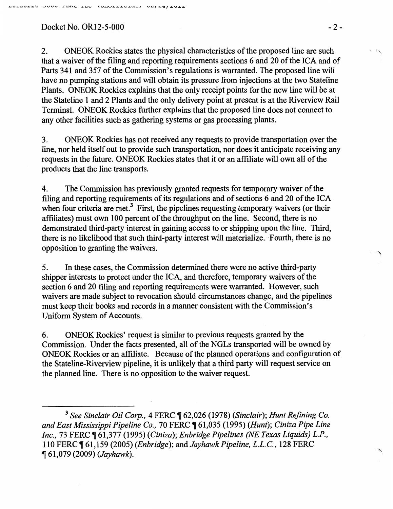## $Dacket No. OR12-5-000$   $-2-$

2. ONEOK Rockies states the physical characteristics of the proposed line are such that a waiver of the filing and reporting requirements sections 6 and 20 of the ICA and of Parts 341 and 357 of the Commission's regulations is warranted. The proposed line will have no pumping stations and will obtain its pressure from injections at the two Stateline Plants. ONEOK Rockies explains that the only receipt points for the new line will be at the Stateline 1 and 2 Plants and the only delivery point at present is at the Riverview Rail Terminal. ONEOK Rockies further explains that the proposed line does not connect to any other facilities such as gathering systems or gas processing plants.

3. ONEOK Rockies has not received any requests to provide transportation over the line, nor held itself out to provide such transportation, nor does it anticipate receiving any requests in the future. ONEOK Rockies states that it or an affiliate will own all of the products that the line transports.

4. The Commission has previously granted requests for temporary waiver of the filing and reporting requirements of its regulations and of sections 6 and 20 of the ICA when four criteria are met.<sup>3</sup> First, the pipelines requesting temporary waivers (or their affiliates) must own 100 percent of the throughput on the line. Second, there is no demonstrated third-party interest in gaining access to or shipping upon the line. Third, there is no likelihood that such third-party interest will materialize. Fourth, there is no opposition to granting the waivers.

5. In these cases, the Commission determined there were no active third-party shipper interests to protect under the ICA, and therefore, temporary waivers of the section 6 and 20 filing and reporting requirements were warranted. However, such waivers are made subject to revocation should circumstances change, and the pipelines must keep their books and records in a manner consistent with the Commission's Uniform System of Accounts.

6. ONEOK Rockies' request is similar to previous requests granted by the Commission. Under the facts presented, all of the NGLs transported will be owned by ONEOK Rockies or an affiliate. Because of the planned operations and configuration of the Stateline-Riverview pipeline, it is unlikely that a third party will request service on the planned line. There is no opposition to the waiver request.

 $\mathcal{L}$ 

 $\bar{\gamma}$ 

<sup>&</sup>lt;sup>3</sup> See Sinclair Oil Corp., 4 FERC  $\P$  62,026 (1978) (Sinclair); Hunt Refining Co. *and East Mississippi Pipeline Co.,* 70 FERC ~ 61,035 (1995) *(Hunt); Ciniza Pipe Line Inc., 73 FERC*  $\P$  61,377 (1995) *(Ciniza); Enbridge Pipelines (NE Texas Liquids) L.P.*, 110 FERC ~ 61,159 (2005) *(Enbridge);* and *Jayhawk Pipeline, L.L.C.,* 128 FERC <sup>~</sup>61,079 (2009) *(Jayhawk).*